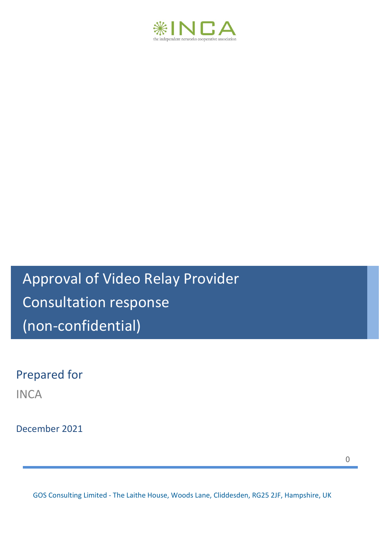

Approval of Video Relay Provider Consultation response (non-confidential)

Prepared for

**INCA** 

December 2021

0

GOS Consulting Limited - The Laithe House, Woods Lane, Cliddesden, RG25 2JF, Hampshire, UK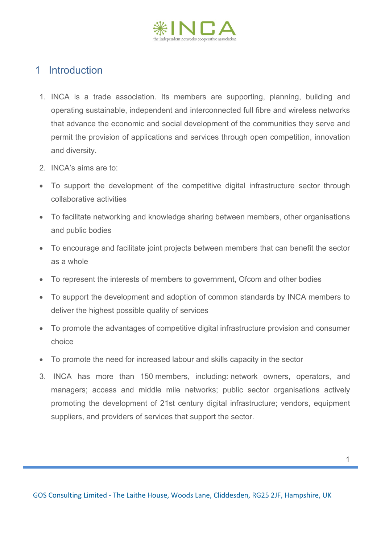

## 1 Introduction

- 1. INCA is a trade association. Its members are supporting, planning, building and operating sustainable, independent and interconnected full fibre and wireless networks that advance the economic and social development of the communities they serve and permit the provision of applications and services through open competition, innovation and diversity.
- 2. INCA's aims are to:
- To support the development of the competitive digital infrastructure sector through collaborative activities
- To facilitate networking and knowledge sharing between members, other organisations and public bodies
- To encourage and facilitate joint projects between members that can benefit the sector as a whole
- To represent the interests of members to government, Ofcom and other bodies
- To support the development and adoption of common standards by INCA members to deliver the highest possible quality of services
- To promote the advantages of competitive digital infrastructure provision and consumer choice
- To promote the need for increased labour and skills capacity in the sector
- 3. INCA has more than 150 members, including: network owners, operators, and managers; access and middle mile networks; public sector organisations actively promoting the development of 21st century digital infrastructure; vendors, equipment suppliers, and providers of services that support the sector.

GOS Consulting Limited - The Laithe House, Woods Lane, Cliddesden, RG25 2JF, Hampshire, UK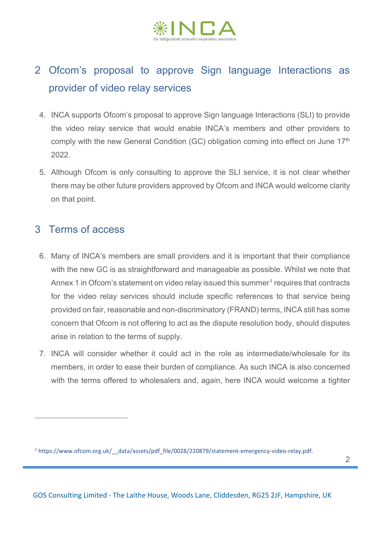

## 2 Ofcom's proposal to approve Sign language Interactions as provider of video relay services

- 4. INCA supports Ofcom's proposal to approve Sign language Interactions (SLI) to provide the video relay service that would enable INCA's members and other providers to comply with the new General Condition (GC) obligation coming into effect on June 17<sup>th</sup> 2022.
- 5. Although Ofcom is only consulting to approve the SLI service, it is not clear whether there may be other future providers approved by Ofcom and INCA would welcome clarity on that point.

## 3 Terms of access

- 6. Many of INCA's members are small providers and it is important that their compliance with the new GC is as straightforward and manageable as possible. Whilst we note that Annex [1](#page-2-0) in Ofcom's statement on video relay issued this summer<sup>1</sup> requires that contracts for the video relay services should include specific references to that service being provided on fair, reasonable and non-discriminatory (FRAND) terms, INCA still has some concern that Ofcom is not offering to act as the dispute resolution body, should disputes arise in relation to the terms of supply.
- 7. INCA will consider whether it could act in the role as intermediate/wholesale for its members, in order to ease their burden of compliance. As such INCA is also concerned with the terms offered to wholesalers and, again, here INCA would welcome a tighter

<span id="page-2-0"></span><sup>1</sup> https://www.ofcom.org.uk/\_\_data/assets/pdf\_file/0028/220879/statement-emergency-video-relay.pdf.

GOS Consulting Limited - The Laithe House, Woods Lane, Cliddesden, RG25 2JF, Hampshire, UK